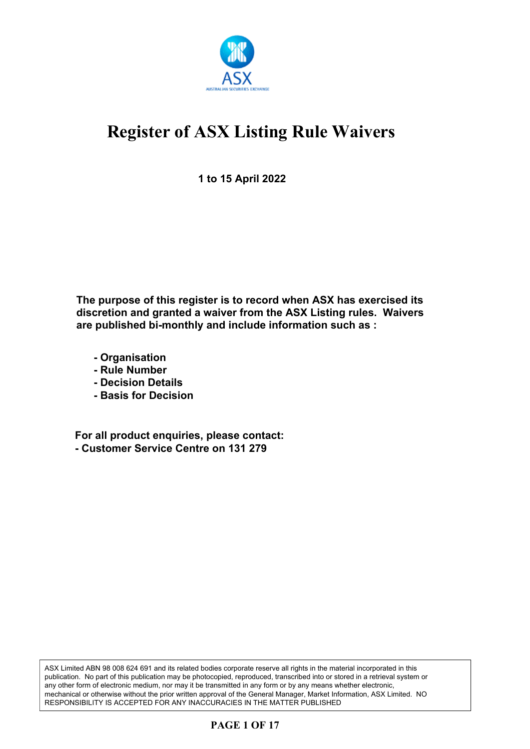

**1 to 15 April 2022**

**The purpose of this register is to record when ASX has exercised its discretion and granted a waiver from the ASX Listing rules. Waivers are published bi-monthly and include information such as :**

- **Organisation**
- **Rule Number**
- **Decision Details**
- **Basis for Decision**

**For all product enquiries, please contact: - Customer Service Centre on 131 279**

ASX Limited ABN 98 008 624 691 and its related bodies corporate reserve all rights in the material incorporated in this publication. No part of this publication may be photocopied, reproduced, transcribed into or stored in a retrieval system or any other form of electronic medium, nor may it be transmitted in any form or by any means whether electronic, mechanical or otherwise without the prior written approval of the General Manager, Market Information, ASX Limited. NO RESPONSIBILITY IS ACCEPTED FOR ANY INACCURACIES IN THE MATTER PUBLISHED

## **PAGE 1 OF 17**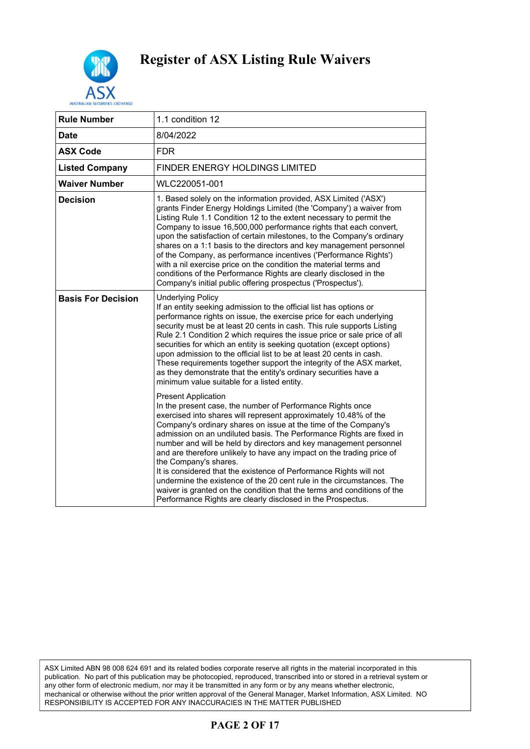

| <b>Rule Number</b>        | 1.1 condition 12                                                                                                                                                                                                                                                                                                                                                                                                                                                                                                                                                                                                                                                                                                                                                        |
|---------------------------|-------------------------------------------------------------------------------------------------------------------------------------------------------------------------------------------------------------------------------------------------------------------------------------------------------------------------------------------------------------------------------------------------------------------------------------------------------------------------------------------------------------------------------------------------------------------------------------------------------------------------------------------------------------------------------------------------------------------------------------------------------------------------|
| <b>Date</b>               | 8/04/2022                                                                                                                                                                                                                                                                                                                                                                                                                                                                                                                                                                                                                                                                                                                                                               |
| <b>ASX Code</b>           | <b>FDR</b>                                                                                                                                                                                                                                                                                                                                                                                                                                                                                                                                                                                                                                                                                                                                                              |
| <b>Listed Company</b>     | FINDER ENERGY HOLDINGS LIMITED                                                                                                                                                                                                                                                                                                                                                                                                                                                                                                                                                                                                                                                                                                                                          |
| <b>Waiver Number</b>      | WLC220051-001                                                                                                                                                                                                                                                                                                                                                                                                                                                                                                                                                                                                                                                                                                                                                           |
| <b>Decision</b>           | 1. Based solely on the information provided, ASX Limited ('ASX')<br>grants Finder Energy Holdings Limited (the 'Company') a waiver from<br>Listing Rule 1.1 Condition 12 to the extent necessary to permit the<br>Company to issue 16,500,000 performance rights that each convert,<br>upon the satisfaction of certain milestones, to the Company's ordinary<br>shares on a 1:1 basis to the directors and key management personnel<br>of the Company, as performance incentives ('Performance Rights')<br>with a nil exercise price on the condition the material terms and<br>conditions of the Performance Rights are clearly disclosed in the<br>Company's initial public offering prospectus ('Prospectus').                                                      |
| <b>Basis For Decision</b> | <b>Underlying Policy</b><br>If an entity seeking admission to the official list has options or<br>performance rights on issue, the exercise price for each underlying<br>security must be at least 20 cents in cash. This rule supports Listing<br>Rule 2.1 Condition 2 which requires the issue price or sale price of all<br>securities for which an entity is seeking quotation (except options)<br>upon admission to the official list to be at least 20 cents in cash.<br>These requirements together support the integrity of the ASX market,<br>as they demonstrate that the entity's ordinary securities have a<br>minimum value suitable for a listed entity.                                                                                                  |
|                           | <b>Present Application</b><br>In the present case, the number of Performance Rights once<br>exercised into shares will represent approximately 10.48% of the<br>Company's ordinary shares on issue at the time of the Company's<br>admission on an undiluted basis. The Performance Rights are fixed in<br>number and will be held by directors and key management personnel<br>and are therefore unlikely to have any impact on the trading price of<br>the Company's shares.<br>It is considered that the existence of Performance Rights will not<br>undermine the existence of the 20 cent rule in the circumstances. The<br>waiver is granted on the condition that the terms and conditions of the<br>Performance Rights are clearly disclosed in the Prospectus. |

ASX Limited ABN 98 008 624 691 and its related bodies corporate reserve all rights in the material incorporated in this publication. No part of this publication may be photocopied, reproduced, transcribed into or stored in a retrieval system or any other form of electronic medium, nor may it be transmitted in any form or by any means whether electronic, mechanical or otherwise without the prior written approval of the General Manager, Market Information, ASX Limited. NO RESPONSIBILITY IS ACCEPTED FOR ANY INACCURACIES IN THE MATTER PUBLISHED

## **PAGE 2 OF 17**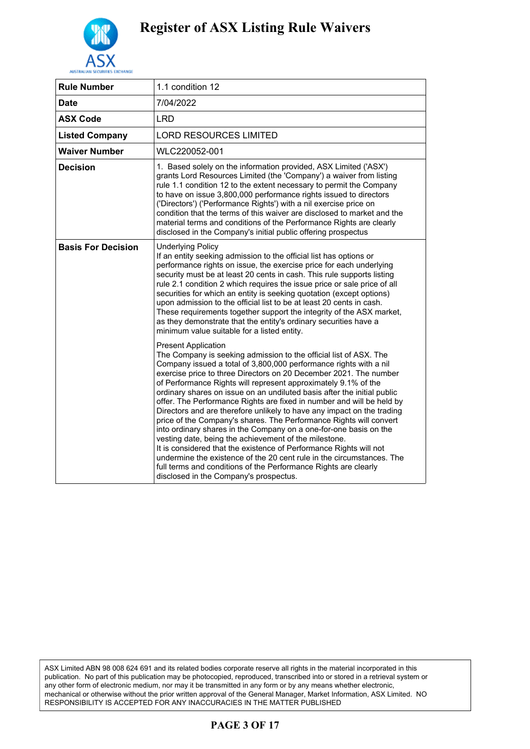

| <b>Rule Number</b>        | 1.1 condition 12                                                                                                                                                                                                                                                                                                                                                                                                                                                                                                                                                                                                                                                                                                                                                                                                                                                                                                                                                                                          |
|---------------------------|-----------------------------------------------------------------------------------------------------------------------------------------------------------------------------------------------------------------------------------------------------------------------------------------------------------------------------------------------------------------------------------------------------------------------------------------------------------------------------------------------------------------------------------------------------------------------------------------------------------------------------------------------------------------------------------------------------------------------------------------------------------------------------------------------------------------------------------------------------------------------------------------------------------------------------------------------------------------------------------------------------------|
| Date                      | 7/04/2022                                                                                                                                                                                                                                                                                                                                                                                                                                                                                                                                                                                                                                                                                                                                                                                                                                                                                                                                                                                                 |
| <b>ASX Code</b>           | <b>LRD</b>                                                                                                                                                                                                                                                                                                                                                                                                                                                                                                                                                                                                                                                                                                                                                                                                                                                                                                                                                                                                |
| <b>Listed Company</b>     | <b>LORD RESOURCES LIMITED</b>                                                                                                                                                                                                                                                                                                                                                                                                                                                                                                                                                                                                                                                                                                                                                                                                                                                                                                                                                                             |
| <b>Waiver Number</b>      | WLC220052-001                                                                                                                                                                                                                                                                                                                                                                                                                                                                                                                                                                                                                                                                                                                                                                                                                                                                                                                                                                                             |
| <b>Decision</b>           | 1. Based solely on the information provided, ASX Limited ('ASX')<br>grants Lord Resources Limited (the 'Company') a waiver from listing<br>rule 1.1 condition 12 to the extent necessary to permit the Company<br>to have on issue 3,800,000 performance rights issued to directors<br>('Directors') ('Performance Rights') with a nil exercise price on<br>condition that the terms of this waiver are disclosed to market and the<br>material terms and conditions of the Performance Rights are clearly<br>disclosed in the Company's initial public offering prospectus                                                                                                                                                                                                                                                                                                                                                                                                                               |
| <b>Basis For Decision</b> | <b>Underlying Policy</b><br>If an entity seeking admission to the official list has options or<br>performance rights on issue, the exercise price for each underlying<br>security must be at least 20 cents in cash. This rule supports listing<br>rule 2.1 condition 2 which requires the issue price or sale price of all<br>securities for which an entity is seeking quotation (except options)<br>upon admission to the official list to be at least 20 cents in cash.<br>These requirements together support the integrity of the ASX market,<br>as they demonstrate that the entity's ordinary securities have a<br>minimum value suitable for a listed entity.                                                                                                                                                                                                                                                                                                                                    |
|                           | <b>Present Application</b><br>The Company is seeking admission to the official list of ASX. The<br>Company issued a total of 3,800,000 performance rights with a nil<br>exercise price to three Directors on 20 December 2021. The number<br>of Performance Rights will represent approximately 9.1% of the<br>ordinary shares on issue on an undiluted basis after the initial public<br>offer. The Performance Rights are fixed in number and will be held by<br>Directors and are therefore unlikely to have any impact on the trading<br>price of the Company's shares. The Performance Rights will convert<br>into ordinary shares in the Company on a one-for-one basis on the<br>vesting date, being the achievement of the milestone.<br>It is considered that the existence of Performance Rights will not<br>undermine the existence of the 20 cent rule in the circumstances. The<br>full terms and conditions of the Performance Rights are clearly<br>disclosed in the Company's prospectus. |

ASX Limited ABN 98 008 624 691 and its related bodies corporate reserve all rights in the material incorporated in this publication. No part of this publication may be photocopied, reproduced, transcribed into or stored in a retrieval system or any other form of electronic medium, nor may it be transmitted in any form or by any means whether electronic, mechanical or otherwise without the prior written approval of the General Manager, Market Information, ASX Limited. NO RESPONSIBILITY IS ACCEPTED FOR ANY INACCURACIES IN THE MATTER PUBLISHED

## **PAGE 3 OF 17**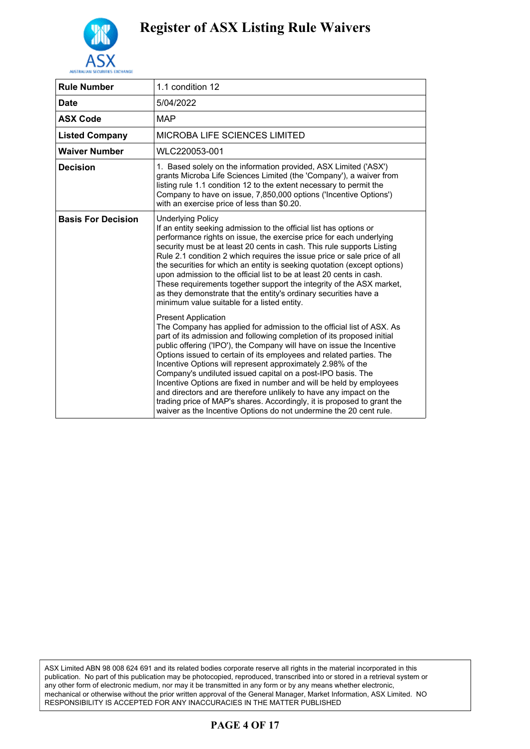

| <b>Rule Number</b>        | 1.1 condition 12                                                                                                                                                                                                                                                                                                                                                                                                                                                                                                                                                                                                                                                                                                                                                                                                                                                                                                                                                                                                                                                                                                                                                                                                                                                                                                                                                                                                                        |
|---------------------------|-----------------------------------------------------------------------------------------------------------------------------------------------------------------------------------------------------------------------------------------------------------------------------------------------------------------------------------------------------------------------------------------------------------------------------------------------------------------------------------------------------------------------------------------------------------------------------------------------------------------------------------------------------------------------------------------------------------------------------------------------------------------------------------------------------------------------------------------------------------------------------------------------------------------------------------------------------------------------------------------------------------------------------------------------------------------------------------------------------------------------------------------------------------------------------------------------------------------------------------------------------------------------------------------------------------------------------------------------------------------------------------------------------------------------------------------|
| Date                      | 5/04/2022                                                                                                                                                                                                                                                                                                                                                                                                                                                                                                                                                                                                                                                                                                                                                                                                                                                                                                                                                                                                                                                                                                                                                                                                                                                                                                                                                                                                                               |
| <b>ASX Code</b>           | <b>MAP</b>                                                                                                                                                                                                                                                                                                                                                                                                                                                                                                                                                                                                                                                                                                                                                                                                                                                                                                                                                                                                                                                                                                                                                                                                                                                                                                                                                                                                                              |
| <b>Listed Company</b>     | <b>MICROBA LIFE SCIENCES LIMITED</b>                                                                                                                                                                                                                                                                                                                                                                                                                                                                                                                                                                                                                                                                                                                                                                                                                                                                                                                                                                                                                                                                                                                                                                                                                                                                                                                                                                                                    |
| Waiver Number             | WLC220053-001                                                                                                                                                                                                                                                                                                                                                                                                                                                                                                                                                                                                                                                                                                                                                                                                                                                                                                                                                                                                                                                                                                                                                                                                                                                                                                                                                                                                                           |
| <b>Decision</b>           | 1. Based solely on the information provided, ASX Limited ('ASX')<br>grants Microba Life Sciences Limited (the 'Company'), a waiver from<br>listing rule 1.1 condition 12 to the extent necessary to permit the<br>Company to have on issue, 7,850,000 options ('Incentive Options')<br>with an exercise price of less than \$0.20.                                                                                                                                                                                                                                                                                                                                                                                                                                                                                                                                                                                                                                                                                                                                                                                                                                                                                                                                                                                                                                                                                                      |
| <b>Basis For Decision</b> | <b>Underlying Policy</b><br>If an entity seeking admission to the official list has options or<br>performance rights on issue, the exercise price for each underlying<br>security must be at least 20 cents in cash. This rule supports Listing<br>Rule 2.1 condition 2 which requires the issue price or sale price of all<br>the securities for which an entity is seeking quotation (except options)<br>upon admission to the official list to be at least 20 cents in cash.<br>These requirements together support the integrity of the ASX market,<br>as they demonstrate that the entity's ordinary securities have a<br>minimum value suitable for a listed entity.<br><b>Present Application</b><br>The Company has applied for admission to the official list of ASX. As<br>part of its admission and following completion of its proposed initial<br>public offering ('IPO'), the Company will have on issue the Incentive<br>Options issued to certain of its employees and related parties. The<br>Incentive Options will represent approximately 2.98% of the<br>Company's undiluted issued capital on a post-IPO basis. The<br>Incentive Options are fixed in number and will be held by employees<br>and directors and are therefore unlikely to have any impact on the<br>trading price of MAP's shares. Accordingly, it is proposed to grant the<br>waiver as the Incentive Options do not undermine the 20 cent rule. |

ASX Limited ABN 98 008 624 691 and its related bodies corporate reserve all rights in the material incorporated in this publication. No part of this publication may be photocopied, reproduced, transcribed into or stored in a retrieval system or any other form of electronic medium, nor may it be transmitted in any form or by any means whether electronic, mechanical or otherwise without the prior written approval of the General Manager, Market Information, ASX Limited. NO RESPONSIBILITY IS ACCEPTED FOR ANY INACCURACIES IN THE MATTER PUBLISHED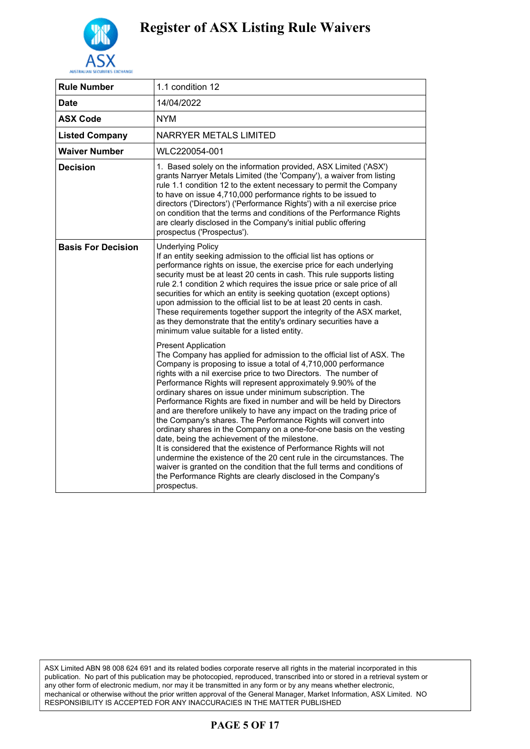

| <b>Rule Number</b>        | 1.1 condition 12                                                                                                                                                                                                                                                                                                                                                                                                                                                                                                                                                                                                                                                                                                                                                                                                                                                                                                                                                                                                              |
|---------------------------|-------------------------------------------------------------------------------------------------------------------------------------------------------------------------------------------------------------------------------------------------------------------------------------------------------------------------------------------------------------------------------------------------------------------------------------------------------------------------------------------------------------------------------------------------------------------------------------------------------------------------------------------------------------------------------------------------------------------------------------------------------------------------------------------------------------------------------------------------------------------------------------------------------------------------------------------------------------------------------------------------------------------------------|
| Date                      | 14/04/2022                                                                                                                                                                                                                                                                                                                                                                                                                                                                                                                                                                                                                                                                                                                                                                                                                                                                                                                                                                                                                    |
| <b>ASX Code</b>           | <b>NYM</b>                                                                                                                                                                                                                                                                                                                                                                                                                                                                                                                                                                                                                                                                                                                                                                                                                                                                                                                                                                                                                    |
| <b>Listed Company</b>     | <b>NARRYER METALS LIMITED</b>                                                                                                                                                                                                                                                                                                                                                                                                                                                                                                                                                                                                                                                                                                                                                                                                                                                                                                                                                                                                 |
| <b>Waiver Number</b>      | WLC220054-001                                                                                                                                                                                                                                                                                                                                                                                                                                                                                                                                                                                                                                                                                                                                                                                                                                                                                                                                                                                                                 |
| <b>Decision</b>           | 1. Based solely on the information provided, ASX Limited ('ASX')<br>grants Narryer Metals Limited (the 'Company'), a waiver from listing<br>rule 1.1 condition 12 to the extent necessary to permit the Company<br>to have on issue 4,710,000 performance rights to be issued to<br>directors ('Directors') ('Performance Rights') with a nil exercise price<br>on condition that the terms and conditions of the Performance Rights<br>are clearly disclosed in the Company's initial public offering<br>prospectus ('Prospectus').                                                                                                                                                                                                                                                                                                                                                                                                                                                                                          |
| <b>Basis For Decision</b> | <b>Underlying Policy</b><br>If an entity seeking admission to the official list has options or<br>performance rights on issue, the exercise price for each underlying<br>security must be at least 20 cents in cash. This rule supports listing<br>rule 2.1 condition 2 which requires the issue price or sale price of all<br>securities for which an entity is seeking quotation (except options)<br>upon admission to the official list to be at least 20 cents in cash.<br>These requirements together support the integrity of the ASX market,<br>as they demonstrate that the entity's ordinary securities have a<br>minimum value suitable for a listed entity.                                                                                                                                                                                                                                                                                                                                                        |
|                           | <b>Present Application</b><br>The Company has applied for admission to the official list of ASX. The<br>Company is proposing to issue a total of 4,710,000 performance<br>rights with a nil exercise price to two Directors. The number of<br>Performance Rights will represent approximately 9.90% of the<br>ordinary shares on issue under minimum subscription. The<br>Performance Rights are fixed in number and will be held by Directors<br>and are therefore unlikely to have any impact on the trading price of<br>the Company's shares. The Performance Rights will convert into<br>ordinary shares in the Company on a one-for-one basis on the vesting<br>date, being the achievement of the milestone.<br>It is considered that the existence of Performance Rights will not<br>undermine the existence of the 20 cent rule in the circumstances. The<br>waiver is granted on the condition that the full terms and conditions of<br>the Performance Rights are clearly disclosed in the Company's<br>prospectus. |

ASX Limited ABN 98 008 624 691 and its related bodies corporate reserve all rights in the material incorporated in this publication. No part of this publication may be photocopied, reproduced, transcribed into or stored in a retrieval system or any other form of electronic medium, nor may it be transmitted in any form or by any means whether electronic, mechanical or otherwise without the prior written approval of the General Manager, Market Information, ASX Limited. NO RESPONSIBILITY IS ACCEPTED FOR ANY INACCURACIES IN THE MATTER PUBLISHED

## **PAGE 5 OF 17**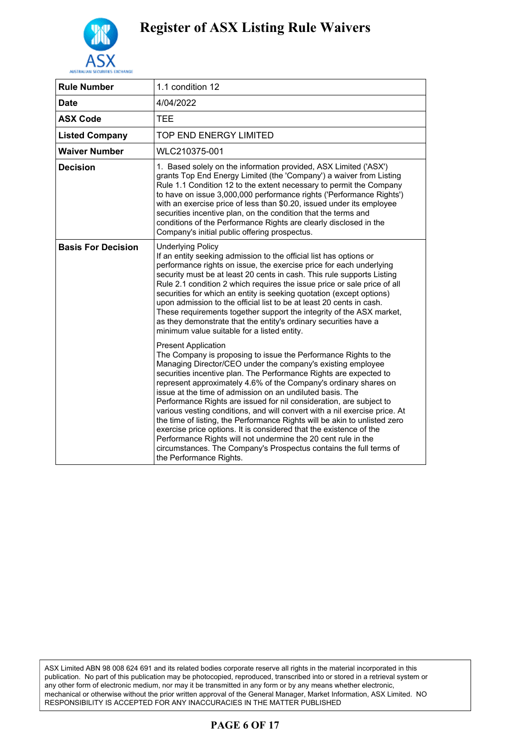

| 1.1 condition 12                                                                                                                                                                                                                                                                                                                                                                                                                                                                                                                                                                                                                                                                                                                                                                                                                             |
|----------------------------------------------------------------------------------------------------------------------------------------------------------------------------------------------------------------------------------------------------------------------------------------------------------------------------------------------------------------------------------------------------------------------------------------------------------------------------------------------------------------------------------------------------------------------------------------------------------------------------------------------------------------------------------------------------------------------------------------------------------------------------------------------------------------------------------------------|
| 4/04/2022                                                                                                                                                                                                                                                                                                                                                                                                                                                                                                                                                                                                                                                                                                                                                                                                                                    |
| <b>TEE</b>                                                                                                                                                                                                                                                                                                                                                                                                                                                                                                                                                                                                                                                                                                                                                                                                                                   |
| TOP END ENERGY LIMITED                                                                                                                                                                                                                                                                                                                                                                                                                                                                                                                                                                                                                                                                                                                                                                                                                       |
| WLC210375-001                                                                                                                                                                                                                                                                                                                                                                                                                                                                                                                                                                                                                                                                                                                                                                                                                                |
| 1. Based solely on the information provided, ASX Limited ('ASX')<br>grants Top End Energy Limited (the 'Company') a waiver from Listing<br>Rule 1.1 Condition 12 to the extent necessary to permit the Company<br>to have on issue 3,000,000 performance rights ('Performance Rights')<br>with an exercise price of less than \$0.20, issued under its employee<br>securities incentive plan, on the condition that the terms and<br>conditions of the Performance Rights are clearly disclosed in the<br>Company's initial public offering prospectus.                                                                                                                                                                                                                                                                                      |
| <b>Underlying Policy</b><br>If an entity seeking admission to the official list has options or<br>performance rights on issue, the exercise price for each underlying<br>security must be at least 20 cents in cash. This rule supports Listing<br>Rule 2.1 condition 2 which requires the issue price or sale price of all<br>securities for which an entity is seeking quotation (except options)<br>upon admission to the official list to be at least 20 cents in cash.<br>These requirements together support the integrity of the ASX market,<br>as they demonstrate that the entity's ordinary securities have a<br>minimum value suitable for a listed entity.                                                                                                                                                                       |
| <b>Present Application</b><br>The Company is proposing to issue the Performance Rights to the<br>Managing Director/CEO under the company's existing employee<br>securities incentive plan. The Performance Rights are expected to<br>represent approximately 4.6% of the Company's ordinary shares on<br>issue at the time of admission on an undiluted basis. The<br>Performance Rights are issued for nil consideration, are subject to<br>various vesting conditions, and will convert with a nil exercise price. At<br>the time of listing, the Performance Rights will be akin to unlisted zero<br>exercise price options. It is considered that the existence of the<br>Performance Rights will not undermine the 20 cent rule in the<br>circumstances. The Company's Prospectus contains the full terms of<br>the Performance Rights. |
|                                                                                                                                                                                                                                                                                                                                                                                                                                                                                                                                                                                                                                                                                                                                                                                                                                              |

ASX Limited ABN 98 008 624 691 and its related bodies corporate reserve all rights in the material incorporated in this publication. No part of this publication may be photocopied, reproduced, transcribed into or stored in a retrieval system or any other form of electronic medium, nor may it be transmitted in any form or by any means whether electronic, mechanical or otherwise without the prior written approval of the General Manager, Market Information, ASX Limited. NO RESPONSIBILITY IS ACCEPTED FOR ANY INACCURACIES IN THE MATTER PUBLISHED

## **PAGE 6 OF 17**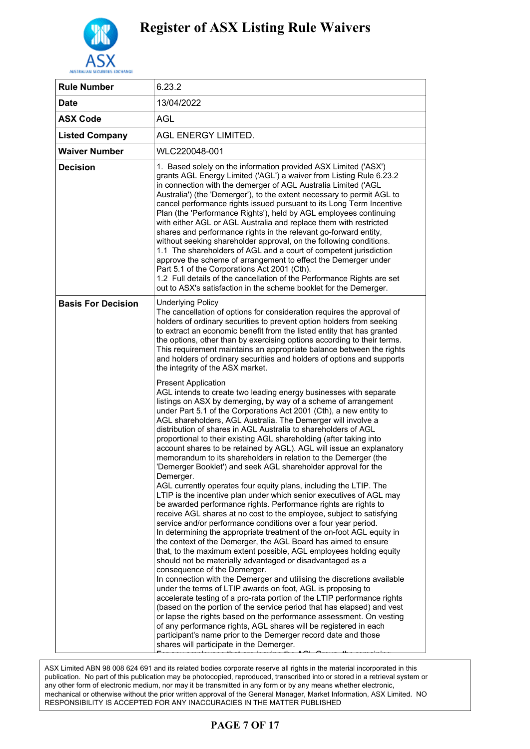

| <b>Rule Number</b>        | 6.23.2                                                                                                                                                                                                                                                                                                                                                                                                                                                                                                                                                                                                                                                                                                                                                                                                                                                                                                                                                                               |
|---------------------------|--------------------------------------------------------------------------------------------------------------------------------------------------------------------------------------------------------------------------------------------------------------------------------------------------------------------------------------------------------------------------------------------------------------------------------------------------------------------------------------------------------------------------------------------------------------------------------------------------------------------------------------------------------------------------------------------------------------------------------------------------------------------------------------------------------------------------------------------------------------------------------------------------------------------------------------------------------------------------------------|
| <b>Date</b>               | 13/04/2022                                                                                                                                                                                                                                                                                                                                                                                                                                                                                                                                                                                                                                                                                                                                                                                                                                                                                                                                                                           |
| <b>ASX Code</b>           | AGL                                                                                                                                                                                                                                                                                                                                                                                                                                                                                                                                                                                                                                                                                                                                                                                                                                                                                                                                                                                  |
| <b>Listed Company</b>     | <b>AGL ENERGY LIMITED.</b>                                                                                                                                                                                                                                                                                                                                                                                                                                                                                                                                                                                                                                                                                                                                                                                                                                                                                                                                                           |
| <b>Waiver Number</b>      | WLC220048-001                                                                                                                                                                                                                                                                                                                                                                                                                                                                                                                                                                                                                                                                                                                                                                                                                                                                                                                                                                        |
| <b>Decision</b>           | 1. Based solely on the information provided ASX Limited ('ASX')<br>grants AGL Energy Limited ('AGL') a waiver from Listing Rule 6.23.2<br>in connection with the demerger of AGL Australia Limited ('AGL<br>Australia') (the 'Demerger'), to the extent necessary to permit AGL to<br>cancel performance rights issued pursuant to its Long Term Incentive<br>Plan (the 'Performance Rights'), held by AGL employees continuing<br>with either AGL or AGL Australia and replace them with restricted<br>shares and performance rights in the relevant go-forward entity,<br>without seeking shareholder approval, on the following conditions.<br>1.1 The shareholders of AGL and a court of competent jurisdiction<br>approve the scheme of arrangement to effect the Demerger under<br>Part 5.1 of the Corporations Act 2001 (Cth).<br>1.2 Full details of the cancellation of the Performance Rights are set<br>out to ASX's satisfaction in the scheme booklet for the Demerger. |
| <b>Basis For Decision</b> | <b>Underlying Policy</b><br>The cancellation of options for consideration requires the approval of<br>holders of ordinary securities to prevent option holders from seeking<br>to extract an economic benefit from the listed entity that has granted<br>the options, other than by exercising options according to their terms.<br>This requirement maintains an appropriate balance between the rights<br>and holders of ordinary securities and holders of options and supports<br>the integrity of the ASX market.                                                                                                                                                                                                                                                                                                                                                                                                                                                               |
|                           | <b>Present Application</b><br>AGL intends to create two leading energy businesses with separate<br>listings on ASX by demerging, by way of a scheme of arrangement<br>under Part 5.1 of the Corporations Act 2001 (Cth), a new entity to<br>AGL shareholders, AGL Australia. The Demerger will involve a<br>distribution of shares in AGL Australia to shareholders of AGL<br>proportional to their existing AGL shareholding (after taking into<br>account shares to be retained by AGL). AGL will issue an explanatory<br>memorandum to its shareholders in relation to the Demerger (the<br>'Demerger Booklet') and seek AGL shareholder approval for the<br>Demerger.                                                                                                                                                                                                                                                                                                            |
|                           | AGL currently operates four equity plans, including the LTIP. The<br>LTIP is the incentive plan under which senior executives of AGL may<br>be awarded performance rights. Performance rights are rights to<br>receive AGL shares at no cost to the employee, subject to satisfying<br>service and/or performance conditions over a four year period.<br>In determining the appropriate treatment of the on-foot AGL equity in<br>the context of the Demerger, the AGL Board has aimed to ensure<br>that, to the maximum extent possible, AGL employees holding equity<br>should not be materially advantaged or disadvantaged as a<br>consequence of the Demerger.                                                                                                                                                                                                                                                                                                                  |
|                           | In connection with the Demerger and utilising the discretions available<br>under the terms of LTIP awards on foot, AGL is proposing to<br>accelerate testing of a pro-rata portion of the LTIP performance rights<br>(based on the portion of the service period that has elapsed) and vest<br>or lapse the rights based on the performance assessment. On vesting<br>of any performance rights, AGL shares will be registered in each<br>participant's name prior to the Demerger record date and those<br>shares will participate in the Demerger.                                                                                                                                                                                                                                                                                                                                                                                                                                 |

.<br>ASX Limited ABN 98 008 624 691 and its related bodies corporate reserve all rights in the material incorporated in this publication. No part of this publication may be photocopied, reproduced, transcribed into or stored in a retrieval system or publication. performance rights of the performance ring so proceed produced, represented in anomic of croced in a retrieval<br>any other form of electronic medium, nor may it be transmitted in any form or by any means whether electronic, mechanical or otherwise without the prior written approval of the General Manager, Market Information, ASX Limited. NO RESPONSIBILITY IS ACCEPTED FOR ANY INACCURACIES IN THE MATTER PUBLISHED are not vested will be replaced with a combination of long-term equity  $\alpha$  combination of  $\alpha$ 

#### $\bf{N}$ in the form of  $\bf{r}$ **PAGE 7 OF 17**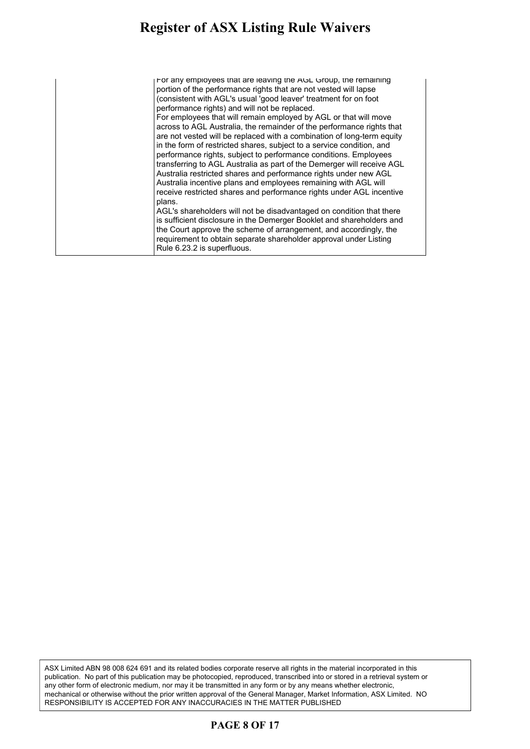#### **Register of ASX Listing Rule Waivers** aister of ASX Listing Rule Waivers  $\,$  $\mathbf{b}$  begins that  $\mathbf{b}$  and  $\mathbf{b}$  and  $\mathbf{c}$  is equal that  $\mathbf{b}$

| For any employees that are leaving the AGL Group, the remaining<br>portion of the performance rights that are not vested will lapse<br>(consistent with AGL's usual 'good leaver' treatment for on foot<br>performance rights) and will not be replaced.<br>For employees that will remain employed by AGL or that will move<br>across to AGL Australia, the remainder of the performance rights that<br>are not vested will be replaced with a combination of long-term equity<br>in the form of restricted shares, subject to a service condition, and<br>performance rights, subject to performance conditions. Employees<br>transferring to AGL Australia as part of the Demerger will receive AGL<br>Australia restricted shares and performance rights under new AGL<br>Australia incentive plans and employees remaining with AGL will<br>receive restricted shares and performance rights under AGL incentive |
|-----------------------------------------------------------------------------------------------------------------------------------------------------------------------------------------------------------------------------------------------------------------------------------------------------------------------------------------------------------------------------------------------------------------------------------------------------------------------------------------------------------------------------------------------------------------------------------------------------------------------------------------------------------------------------------------------------------------------------------------------------------------------------------------------------------------------------------------------------------------------------------------------------------------------|
| plans.<br>AGL's shareholders will not be disadvantaged on condition that there<br>is sufficient disclosure in the Demerger Booklet and shareholders and<br>the Court approve the scheme of arrangement, and accordingly, the<br>requirement to obtain separate shareholder approval under Listing<br>Rule 6.23.2 is superfluous.                                                                                                                                                                                                                                                                                                                                                                                                                                                                                                                                                                                      |

ASX Limited ABN 98 008 624 691 and its related bodies corporate reserve all rights in the material incorporated in this publication. No part of this publication may be photocopied, reproduced, transcribed into or stored in a retrieval system or any other form of electronic medium, nor may it be transmitted in any form or by any means whether electronic, mechanical or otherwise without the prior written approval of the General Manager, Market Information, ASX Limited. NO RESPONSIBILITY IS ACCEPTED FOR ANY INACCURACIES IN THE MATTER PUBLISHED

### **PAGE 8 OF 17**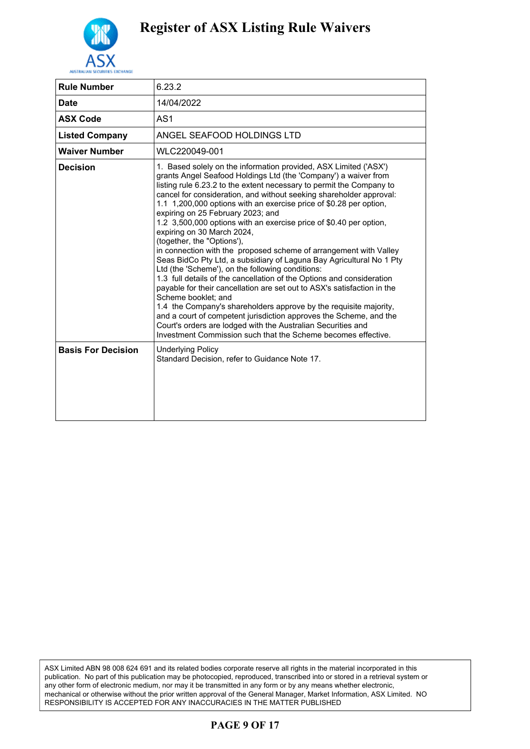

| <b>Rule Number</b>        | 6.23.2                                                                                                                                                                                                                                                                                                                                                                                                                                                                                                                                                                                                                                                                                                                                                                                                                                                                                                                                                                                                                                                                                                                                                                                  |
|---------------------------|-----------------------------------------------------------------------------------------------------------------------------------------------------------------------------------------------------------------------------------------------------------------------------------------------------------------------------------------------------------------------------------------------------------------------------------------------------------------------------------------------------------------------------------------------------------------------------------------------------------------------------------------------------------------------------------------------------------------------------------------------------------------------------------------------------------------------------------------------------------------------------------------------------------------------------------------------------------------------------------------------------------------------------------------------------------------------------------------------------------------------------------------------------------------------------------------|
| <b>Date</b>               | 14/04/2022                                                                                                                                                                                                                                                                                                                                                                                                                                                                                                                                                                                                                                                                                                                                                                                                                                                                                                                                                                                                                                                                                                                                                                              |
| <b>ASX Code</b>           | AS <sub>1</sub>                                                                                                                                                                                                                                                                                                                                                                                                                                                                                                                                                                                                                                                                                                                                                                                                                                                                                                                                                                                                                                                                                                                                                                         |
| <b>Listed Company</b>     | ANGEL SEAFOOD HOLDINGS LTD                                                                                                                                                                                                                                                                                                                                                                                                                                                                                                                                                                                                                                                                                                                                                                                                                                                                                                                                                                                                                                                                                                                                                              |
| <b>Waiver Number</b>      | WLC220049-001                                                                                                                                                                                                                                                                                                                                                                                                                                                                                                                                                                                                                                                                                                                                                                                                                                                                                                                                                                                                                                                                                                                                                                           |
| <b>Decision</b>           | 1. Based solely on the information provided, ASX Limited ('ASX')<br>grants Angel Seafood Holdings Ltd (the 'Company') a waiver from<br>listing rule 6.23.2 to the extent necessary to permit the Company to<br>cancel for consideration, and without seeking shareholder approval:<br>1.1 1,200,000 options with an exercise price of \$0.28 per option,<br>expiring on 25 February 2023; and<br>1.2 3,500,000 options with an exercise price of \$0.40 per option,<br>expiring on 30 March 2024,<br>(together, the "Options"),<br>in connection with the proposed scheme of arrangement with Valley<br>Seas BidCo Pty Ltd, a subsidiary of Laguna Bay Agricultural No 1 Pty<br>Ltd (the 'Scheme'), on the following conditions:<br>1.3 full details of the cancellation of the Options and consideration<br>payable for their cancellation are set out to ASX's satisfaction in the<br>Scheme booklet: and<br>1.4 the Company's shareholders approve by the requisite majority,<br>and a court of competent jurisdiction approves the Scheme, and the<br>Court's orders are lodged with the Australian Securities and<br>Investment Commission such that the Scheme becomes effective. |
| <b>Basis For Decision</b> | <b>Underlying Policy</b><br>Standard Decision, refer to Guidance Note 17.                                                                                                                                                                                                                                                                                                                                                                                                                                                                                                                                                                                                                                                                                                                                                                                                                                                                                                                                                                                                                                                                                                               |

ASX Limited ABN 98 008 624 691 and its related bodies corporate reserve all rights in the material incorporated in this publication. No part of this publication may be photocopied, reproduced, transcribed into or stored in a retrieval system or any other form of electronic medium, nor may it be transmitted in any form or by any means whether electronic, mechanical or otherwise without the prior written approval of the General Manager, Market Information, ASX Limited. NO RESPONSIBILITY IS ACCEPTED FOR ANY INACCURACIES IN THE MATTER PUBLISHED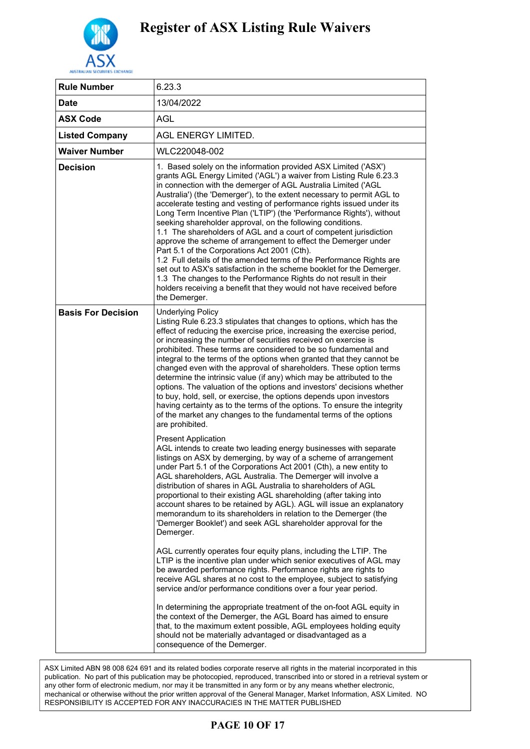

| <b>Rule Number</b>        | 6.23.3                                                                                                                                                                                                                                                                                                                                                                                                                                                                                                                                                                                                                                                                                                                                                                                                                                                                                                                                                                                                 |
|---------------------------|--------------------------------------------------------------------------------------------------------------------------------------------------------------------------------------------------------------------------------------------------------------------------------------------------------------------------------------------------------------------------------------------------------------------------------------------------------------------------------------------------------------------------------------------------------------------------------------------------------------------------------------------------------------------------------------------------------------------------------------------------------------------------------------------------------------------------------------------------------------------------------------------------------------------------------------------------------------------------------------------------------|
| Date                      | 13/04/2022                                                                                                                                                                                                                                                                                                                                                                                                                                                                                                                                                                                                                                                                                                                                                                                                                                                                                                                                                                                             |
| <b>ASX Code</b>           | AGL                                                                                                                                                                                                                                                                                                                                                                                                                                                                                                                                                                                                                                                                                                                                                                                                                                                                                                                                                                                                    |
| <b>Listed Company</b>     | AGL ENERGY LIMITED.                                                                                                                                                                                                                                                                                                                                                                                                                                                                                                                                                                                                                                                                                                                                                                                                                                                                                                                                                                                    |
| <b>Waiver Number</b>      | WLC220048-002                                                                                                                                                                                                                                                                                                                                                                                                                                                                                                                                                                                                                                                                                                                                                                                                                                                                                                                                                                                          |
| <b>Decision</b>           | 1. Based solely on the information provided ASX Limited ('ASX')<br>grants AGL Energy Limited ('AGL') a waiver from Listing Rule 6.23.3<br>in connection with the demerger of AGL Australia Limited ('AGL<br>Australia') (the 'Demerger'), to the extent necessary to permit AGL to<br>accelerate testing and vesting of performance rights issued under its<br>Long Term Incentive Plan ('LTIP') (the 'Performance Rights'), without<br>seeking shareholder approval, on the following conditions.<br>1.1 The shareholders of AGL and a court of competent jurisdiction<br>approve the scheme of arrangement to effect the Demerger under<br>Part 5.1 of the Corporations Act 2001 (Cth).<br>1.2 Full details of the amended terms of the Performance Rights are<br>set out to ASX's satisfaction in the scheme booklet for the Demerger.<br>1.3 The changes to the Performance Rights do not result in their<br>holders receiving a benefit that they would not have received before<br>the Demerger. |
| <b>Basis For Decision</b> | <b>Underlying Policy</b><br>Listing Rule 6.23.3 stipulates that changes to options, which has the<br>effect of reducing the exercise price, increasing the exercise period,<br>or increasing the number of securities received on exercise is<br>prohibited. These terms are considered to be so fundamental and<br>integral to the terms of the options when granted that they cannot be<br>changed even with the approval of shareholders. These option terms<br>determine the intrinsic value (if any) which may be attributed to the<br>options. The valuation of the options and investors' decisions whether<br>to buy, hold, sell, or exercise, the options depends upon investors<br>having certainty as to the terms of the options. To ensure the integrity<br>of the market any changes to the fundamental terms of the options<br>are prohibited.                                                                                                                                          |
|                           | <b>Present Application</b><br>AGL intends to create two leading energy businesses with separate<br>listings on ASX by demerging, by way of a scheme of arrangement<br>under Part 5.1 of the Corporations Act 2001 (Cth), a new entity to<br>AGL shareholders, AGL Australia. The Demerger will involve a<br>distribution of shares in AGL Australia to shareholders of AGL<br>proportional to their existing AGL shareholding (after taking into<br>account shares to be retained by AGL). AGL will issue an explanatory<br>memorandum to its shareholders in relation to the Demerger (the<br>'Demerger Booklet') and seek AGL shareholder approval for the<br>Demerger.                                                                                                                                                                                                                                                                                                                              |
|                           | AGL currently operates four equity plans, including the LTIP. The<br>LTIP is the incentive plan under which senior executives of AGL may<br>be awarded performance rights. Performance rights are rights to<br>receive AGL shares at no cost to the employee, subject to satisfying<br>service and/or performance conditions over a four year period.                                                                                                                                                                                                                                                                                                                                                                                                                                                                                                                                                                                                                                                  |
|                           | In determining the appropriate treatment of the on-foot AGL equity in<br>the context of the Demerger, the AGL Board has aimed to ensure<br>that, to the maximum extent possible, AGL employees holding equity<br>should not be materially advantaged or disadvantaged as a<br>consequence of the Demerger.                                                                                                                                                                                                                                                                                                                                                                                                                                                                                                                                                                                                                                                                                             |

.<br>ASX Limited ABN 98 008 624 691 and its related bodies corporate reserve all rights in the material incorporated in this publication. No part of this publication may be photocopied, reproduced, transcribed into or stored in a retrieval system or publication. performance test in the pro-rata portion of the LTIP performance rights and the LTIP performance rights and the LTIP performance rights any other form of electronic, mechanical or otherwise without the prior written approval of the General Manager, Market Information, ASX Limited. NO RESPONSIBILITY IS ACCEPTED FOR ANY INACCURACIES IN THE MATTER PUBLISHED

#### $\bf{p}_A$  or to  $\bf{p}_B$  to the Demerger record data and those and those and those and those and those and those and those and those and those and those and those and those and those and those and those and those and those **PAGE 10 OF 17**

of any performance rights,  $\mathcal{A}_{\text{G}}$  shares will be registered in each  $\mathcal{A}_{\text{G}}$  shares with each  $\mathcal{A}_{\text{G}}$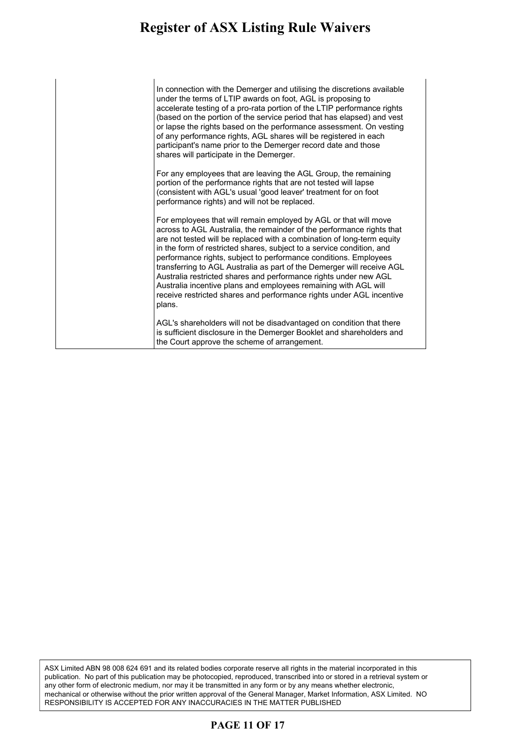In connection with the Demerger and utilising the discretions available under the terms of LTIP awards on foot, AGL is proposing to accelerate testing of a pro-rata portion of the LTIP performance rights (based on the portion of the service period that has elapsed) and vest or lapse the rights based on the performance assessment. On vesting of any performance rights, AGL shares will be registered in each participant's name prior to the Demerger record date and those shares will participate in the Demerger.

For any employees that are leaving the AGL Group, the remaining portion of the performance rights that are not tested will lapse (consistent with AGL's usual 'good leaver' treatment for on foot performance rights) and will not be replaced.

For employees that will remain employed by AGL or that will move across to AGL Australia, the remainder of the performance rights that are not tested will be replaced with a combination of long-term equity in the form of restricted shares, subject to a service condition, and performance rights, subject to performance conditions. Employees transferring to AGL Australia as part of the Demerger will receive AGL Australia restricted shares and performance rights under new AGL Australia incentive plans and employees remaining with AGL will receive restricted shares and performance rights under AGL incentive plans.

AGL's shareholders will not be disadvantaged on condition that there is sufficient disclosure in the Demerger Booklet and shareholders and the Court approve the scheme of arrangement.

ASX Limited ABN 98 008 624 691 and its related bodies corporate reserve all rights in the material incorporated in this publication. No part of this publication may be photocopied, reproduced, transcribed into or stored in a retrieval system or any other form of electronic medium, nor may it be transmitted in any form or by any means whether electronic, mechanical or otherwise without the prior written approval of the General Manager, Market Information, ASX Limited. NO RESPONSIBILITY IS ACCEPTED FOR ANY INACCURACIES IN THE MATTER PUBLISHED

### **PAGE 11 OF 17**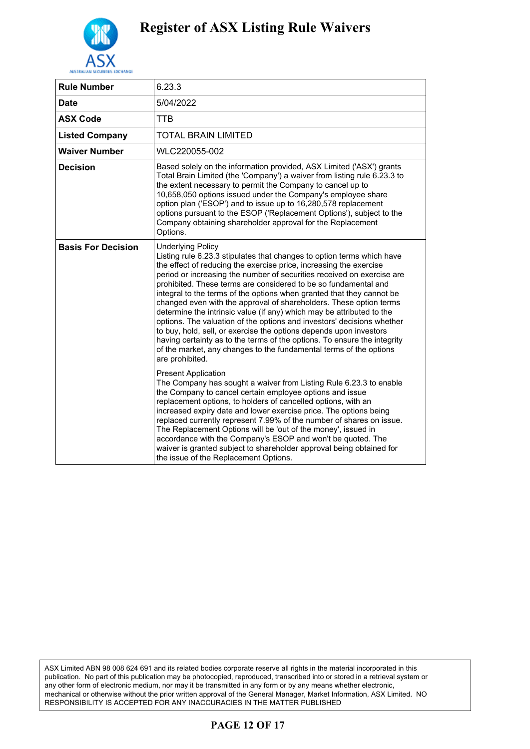

| <b>Rule Number</b>        | 6.23.3                                                                                                                                                                                                                                                                                                                                                                                                                                                                                                                                                                                                                                                                                                                                                                                                                                                             |
|---------------------------|--------------------------------------------------------------------------------------------------------------------------------------------------------------------------------------------------------------------------------------------------------------------------------------------------------------------------------------------------------------------------------------------------------------------------------------------------------------------------------------------------------------------------------------------------------------------------------------------------------------------------------------------------------------------------------------------------------------------------------------------------------------------------------------------------------------------------------------------------------------------|
| <b>Date</b>               | 5/04/2022                                                                                                                                                                                                                                                                                                                                                                                                                                                                                                                                                                                                                                                                                                                                                                                                                                                          |
| <b>ASX Code</b>           | TTB                                                                                                                                                                                                                                                                                                                                                                                                                                                                                                                                                                                                                                                                                                                                                                                                                                                                |
| <b>Listed Company</b>     | TOTAL BRAIN LIMITED                                                                                                                                                                                                                                                                                                                                                                                                                                                                                                                                                                                                                                                                                                                                                                                                                                                |
| <b>Waiver Number</b>      | WLC220055-002                                                                                                                                                                                                                                                                                                                                                                                                                                                                                                                                                                                                                                                                                                                                                                                                                                                      |
| <b>Decision</b>           | Based solely on the information provided, ASX Limited ('ASX') grants<br>Total Brain Limited (the 'Company') a waiver from listing rule 6.23.3 to<br>the extent necessary to permit the Company to cancel up to<br>10,658,050 options issued under the Company's employee share<br>option plan ('ESOP') and to issue up to 16,280,578 replacement<br>options pursuant to the ESOP ('Replacement Options'), subject to the<br>Company obtaining shareholder approval for the Replacement<br>Options.                                                                                                                                                                                                                                                                                                                                                                 |
| <b>Basis For Decision</b> | <b>Underlying Policy</b><br>Listing rule 6.23.3 stipulates that changes to option terms which have<br>the effect of reducing the exercise price, increasing the exercise<br>period or increasing the number of securities received on exercise are<br>prohibited. These terms are considered to be so fundamental and<br>integral to the terms of the options when granted that they cannot be<br>changed even with the approval of shareholders. These option terms<br>determine the intrinsic value (if any) which may be attributed to the<br>options. The valuation of the options and investors' decisions whether<br>to buy, hold, sell, or exercise the options depends upon investors<br>having certainty as to the terms of the options. To ensure the integrity<br>of the market, any changes to the fundamental terms of the options<br>are prohibited. |
|                           | <b>Present Application</b><br>The Company has sought a waiver from Listing Rule 6.23.3 to enable<br>the Company to cancel certain employee options and issue<br>replacement options, to holders of cancelled options, with an<br>increased expiry date and lower exercise price. The options being<br>replaced currently represent 7.99% of the number of shares on issue.<br>The Replacement Options will be 'out of the money', issued in<br>accordance with the Company's ESOP and won't be quoted. The<br>waiver is granted subject to shareholder approval being obtained for<br>the issue of the Replacement Options.                                                                                                                                                                                                                                        |

ASX Limited ABN 98 008 624 691 and its related bodies corporate reserve all rights in the material incorporated in this publication. No part of this publication may be photocopied, reproduced, transcribed into or stored in a retrieval system or any other form of electronic medium, nor may it be transmitted in any form or by any means whether electronic, mechanical or otherwise without the prior written approval of the General Manager, Market Information, ASX Limited. NO RESPONSIBILITY IS ACCEPTED FOR ANY INACCURACIES IN THE MATTER PUBLISHED

### **PAGE 12 OF 17**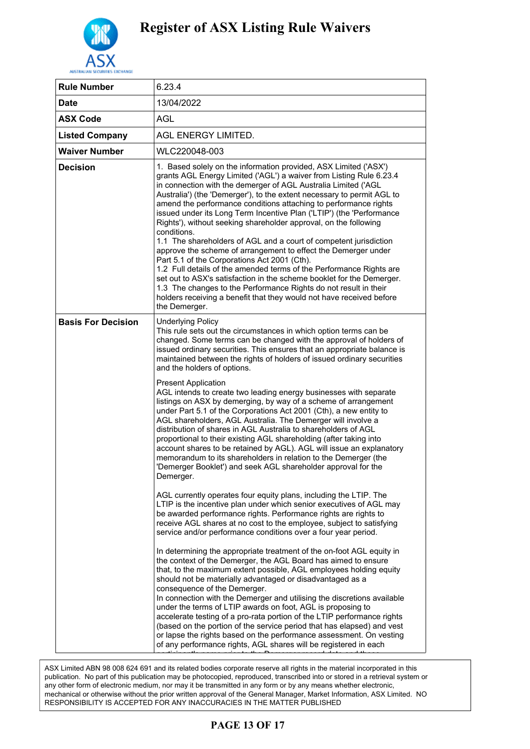

| <b>Rule Number</b>        | 6.23.4                                                                                                                                                                                                                                                                                                                                                                                                                                                                                                                                                                                                                                                                                                                                                                                                                                                                                                                                                                                                                 |
|---------------------------|------------------------------------------------------------------------------------------------------------------------------------------------------------------------------------------------------------------------------------------------------------------------------------------------------------------------------------------------------------------------------------------------------------------------------------------------------------------------------------------------------------------------------------------------------------------------------------------------------------------------------------------------------------------------------------------------------------------------------------------------------------------------------------------------------------------------------------------------------------------------------------------------------------------------------------------------------------------------------------------------------------------------|
| <b>Date</b>               | 13/04/2022                                                                                                                                                                                                                                                                                                                                                                                                                                                                                                                                                                                                                                                                                                                                                                                                                                                                                                                                                                                                             |
| <b>ASX Code</b>           | AGL                                                                                                                                                                                                                                                                                                                                                                                                                                                                                                                                                                                                                                                                                                                                                                                                                                                                                                                                                                                                                    |
| <b>Listed Company</b>     | AGL ENERGY LIMITED.                                                                                                                                                                                                                                                                                                                                                                                                                                                                                                                                                                                                                                                                                                                                                                                                                                                                                                                                                                                                    |
| <b>Waiver Number</b>      | WLC220048-003                                                                                                                                                                                                                                                                                                                                                                                                                                                                                                                                                                                                                                                                                                                                                                                                                                                                                                                                                                                                          |
| <b>Decision</b>           | 1. Based solely on the information provided, ASX Limited ('ASX')<br>grants AGL Energy Limited ('AGL') a waiver from Listing Rule 6.23.4<br>in connection with the demerger of AGL Australia Limited ('AGL<br>Australia') (the 'Demerger'), to the extent necessary to permit AGL to<br>amend the performance conditions attaching to performance rights<br>issued under its Long Term Incentive Plan ('LTIP') (the 'Performance<br>Rights'), without seeking shareholder approval, on the following<br>conditions.<br>1.1 The shareholders of AGL and a court of competent jurisdiction<br>approve the scheme of arrangement to effect the Demerger under<br>Part 5.1 of the Corporations Act 2001 (Cth).<br>1.2 Full details of the amended terms of the Performance Rights are<br>set out to ASX's satisfaction in the scheme booklet for the Demerger.<br>1.3 The changes to the Performance Rights do not result in their<br>holders receiving a benefit that they would not have received before<br>the Demerger. |
| <b>Basis For Decision</b> | <b>Underlying Policy</b><br>This rule sets out the circumstances in which option terms can be<br>changed. Some terms can be changed with the approval of holders of<br>issued ordinary securities. This ensures that an appropriate balance is<br>maintained between the rights of holders of issued ordinary securities<br>and the holders of options.                                                                                                                                                                                                                                                                                                                                                                                                                                                                                                                                                                                                                                                                |
|                           | <b>Present Application</b><br>AGL intends to create two leading energy businesses with separate<br>listings on ASX by demerging, by way of a scheme of arrangement<br>under Part 5.1 of the Corporations Act 2001 (Cth), a new entity to<br>AGL shareholders, AGL Australia. The Demerger will involve a<br>distribution of shares in AGL Australia to shareholders of AGL<br>proportional to their existing AGL shareholding (after taking into<br>account shares to be retained by AGL). AGL will issue an explanatory<br>memorandum to its shareholders in relation to the Demerger (the<br>'Demerger Booklet') and seek AGL shareholder approval for the<br>Demerger.                                                                                                                                                                                                                                                                                                                                              |
|                           | AGL currently operates four equity plans, including the LTIP. The<br>LTIP is the incentive plan under which senior executives of AGL may<br>be awarded performance rights. Performance rights are rights to<br>receive AGL shares at no cost to the employee, subject to satisfying<br>service and/or performance conditions over a four year period.                                                                                                                                                                                                                                                                                                                                                                                                                                                                                                                                                                                                                                                                  |
|                           | In determining the appropriate treatment of the on-foot AGL equity in<br>the context of the Demerger, the AGL Board has aimed to ensure<br>that, to the maximum extent possible, AGL employees holding equity<br>should not be materially advantaged or disadvantaged as a<br>consequence of the Demerger.<br>In connection with the Demerger and utilising the discretions available<br>under the terms of LTIP awards on foot, AGL is proposing to<br>accelerate testing of a pro-rata portion of the LTIP performance rights<br>(based on the portion of the service period that has elapsed) and vest<br>or lapse the rights based on the performance assessment. On vesting<br>of any performance rights, AGL shares will be registered in each                                                                                                                                                                                                                                                                   |

.<br>ASX Limited ABN 98 008 624 691 and its related bodies corporate reserve all rights in the material incorporated in this any other form of electronic medium, nor may it be transmitted in any form or by any means whether electronic, mechanical or otherwise without the prior written approval of the General Manager, Market Information, ASX Limited. NO  $\overline{\phantom{a}}$  COR ANY INACCURACIES IN THE MATTER PUBLISHED RESPONSIBILITY IS ACCEPTED FOR ANY INACCURACIES IN THE MATTER PUBLISHED<br>publication. No part of this publication may be photocopied, reproduced, transcribed into or stored in a retrieval system or

## **PAGE 13 OF 17**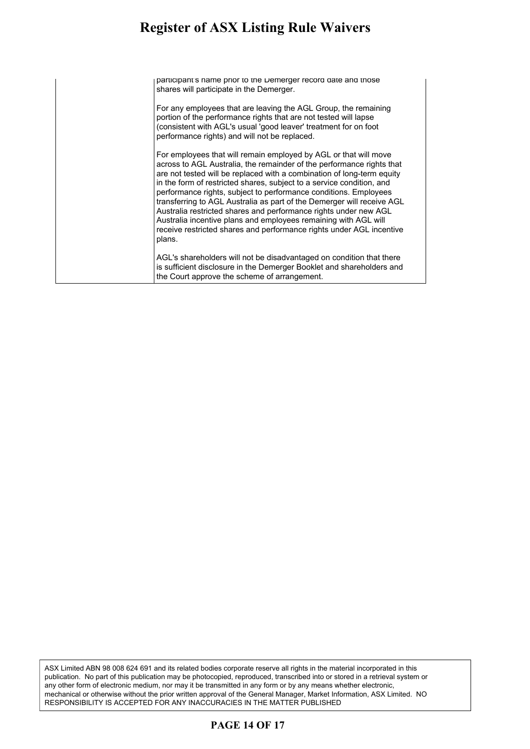#### **Register of ASX Listing Rule Waivers** given of Tioti Liberty real wave to

participant's name prior to the Demerger record date and those shares will participate in the Demerger.

For any employees that are leaving the AGL Group, the remaining portion of the performance rights that are not tested will lapse (consistent with AGL's usual 'good leaver' treatment for on foot performance rights) and will not be replaced.

For employees that will remain employed by AGL or that will move across to AGL Australia, the remainder of the performance rights that are not tested will be replaced with a combination of long-term equity in the form of restricted shares, subject to a service condition, and performance rights, subject to performance conditions. Employees transferring to AGL Australia as part of the Demerger will receive AGL Australia restricted shares and performance rights under new AGL Australia incentive plans and employees remaining with AGL will receive restricted shares and performance rights under AGL incentive plans.

AGL's shareholders will not be disadvantaged on condition that there is sufficient disclosure in the Demerger Booklet and shareholders and the Court approve the scheme of arrangement.

ASX Limited ABN 98 008 624 691 and its related bodies corporate reserve all rights in the material incorporated in this publication. No part of this publication may be photocopied, reproduced, transcribed into or stored in a retrieval system or any other form of electronic medium, nor may it be transmitted in any form or by any means whether electronic, mechanical or otherwise without the prior written approval of the General Manager, Market Information, ASX Limited. NO RESPONSIBILITY IS ACCEPTED FOR ANY INACCURACIES IN THE MATTER PUBLISHED

### **PAGE 14 OF 17**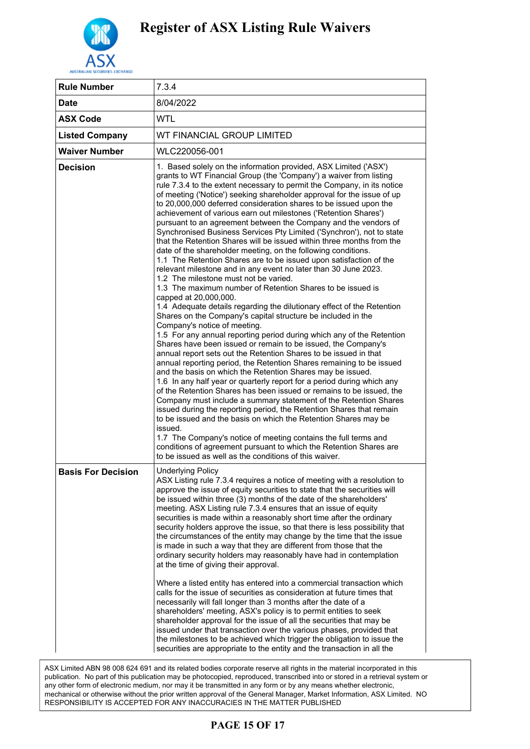

| <b>Rule Number</b>        | 7.3.4                                                                                                                                                                                                                                                                                                                                                                                                                                                                                                                                                                                                                                                                                                                                                                                                                                                                                                                                                                                                                                                                                                                                                                                                                                                                                                                                                                                                                                                                                                                                                                                                                                                                                                                                                                                                                                                                                                                                                                                                                                                                                                           |
|---------------------------|-----------------------------------------------------------------------------------------------------------------------------------------------------------------------------------------------------------------------------------------------------------------------------------------------------------------------------------------------------------------------------------------------------------------------------------------------------------------------------------------------------------------------------------------------------------------------------------------------------------------------------------------------------------------------------------------------------------------------------------------------------------------------------------------------------------------------------------------------------------------------------------------------------------------------------------------------------------------------------------------------------------------------------------------------------------------------------------------------------------------------------------------------------------------------------------------------------------------------------------------------------------------------------------------------------------------------------------------------------------------------------------------------------------------------------------------------------------------------------------------------------------------------------------------------------------------------------------------------------------------------------------------------------------------------------------------------------------------------------------------------------------------------------------------------------------------------------------------------------------------------------------------------------------------------------------------------------------------------------------------------------------------------------------------------------------------------------------------------------------------|
| <b>Date</b>               | 8/04/2022                                                                                                                                                                                                                                                                                                                                                                                                                                                                                                                                                                                                                                                                                                                                                                                                                                                                                                                                                                                                                                                                                                                                                                                                                                                                                                                                                                                                                                                                                                                                                                                                                                                                                                                                                                                                                                                                                                                                                                                                                                                                                                       |
| <b>ASX Code</b>           | <b>WTL</b>                                                                                                                                                                                                                                                                                                                                                                                                                                                                                                                                                                                                                                                                                                                                                                                                                                                                                                                                                                                                                                                                                                                                                                                                                                                                                                                                                                                                                                                                                                                                                                                                                                                                                                                                                                                                                                                                                                                                                                                                                                                                                                      |
| <b>Listed Company</b>     | WT FINANCIAL GROUP LIMITED                                                                                                                                                                                                                                                                                                                                                                                                                                                                                                                                                                                                                                                                                                                                                                                                                                                                                                                                                                                                                                                                                                                                                                                                                                                                                                                                                                                                                                                                                                                                                                                                                                                                                                                                                                                                                                                                                                                                                                                                                                                                                      |
| <b>Waiver Number</b>      | WLC220056-001                                                                                                                                                                                                                                                                                                                                                                                                                                                                                                                                                                                                                                                                                                                                                                                                                                                                                                                                                                                                                                                                                                                                                                                                                                                                                                                                                                                                                                                                                                                                                                                                                                                                                                                                                                                                                                                                                                                                                                                                                                                                                                   |
| <b>Decision</b>           | 1. Based solely on the information provided, ASX Limited ('ASX')<br>grants to WT Financial Group (the 'Company') a waiver from listing<br>rule 7.3.4 to the extent necessary to permit the Company, in its notice<br>of meeting ('Notice') seeking shareholder approval for the issue of up<br>to 20,000,000 deferred consideration shares to be issued upon the<br>achievement of various earn out milestones ('Retention Shares')<br>pursuant to an agreement between the Company and the vendors of<br>Synchronised Business Services Pty Limited ('Synchron'), not to state<br>that the Retention Shares will be issued within three months from the<br>date of the shareholder meeting, on the following conditions.<br>1.1 The Retention Shares are to be issued upon satisfaction of the<br>relevant milestone and in any event no later than 30 June 2023.<br>1.2 The milestone must not be varied.<br>1.3 The maximum number of Retention Shares to be issued is<br>capped at 20,000,000.<br>1.4 Adequate details regarding the dilutionary effect of the Retention<br>Shares on the Company's capital structure be included in the<br>Company's notice of meeting.<br>1.5 For any annual reporting period during which any of the Retention<br>Shares have been issued or remain to be issued, the Company's<br>annual report sets out the Retention Shares to be issued in that<br>annual reporting period, the Retention Shares remaining to be issued<br>and the basis on which the Retention Shares may be issued.<br>1.6 In any half year or quarterly report for a period during which any<br>of the Retention Shares has been issued or remains to be issued, the<br>Company must include a summary statement of the Retention Shares<br>issued during the reporting period, the Retention Shares that remain<br>to be issued and the basis on which the Retention Shares may be<br>issued.<br>1.7 The Company's notice of meeting contains the full terms and<br>conditions of agreement pursuant to which the Retention Shares are<br>to be issued as well as the conditions of this waiver. |
| <b>Basis For Decision</b> | <b>Underlying Policy</b><br>ASX Listing rule 7.3.4 requires a notice of meeting with a resolution to<br>approve the issue of equity securities to state that the securities will<br>be issued within three (3) months of the date of the shareholders'<br>meeting. ASX Listing rule 7.3.4 ensures that an issue of equity<br>securities is made within a reasonably short time after the ordinary<br>security holders approve the issue, so that there is less possibility that<br>the circumstances of the entity may change by the time that the issue<br>is made in such a way that they are different from those that the<br>ordinary security holders may reasonably have had in contemplation<br>at the time of giving their approval.<br>Where a listed entity has entered into a commercial transaction which<br>calls for the issue of securities as consideration at future times that<br>necessarily will fall longer than 3 months after the date of a<br>shareholders' meeting, ASX's policy is to permit entities to seek<br>shareholder approval for the issue of all the securities that may be<br>issued under that transaction over the various phases, provided that<br>the milestones to be achieved which trigger the obligation to issue the<br>securities are appropriate to the entity and the transaction in all the                                                                                                                                                                                                                                                                                                                                                                                                                                                                                                                                                                                                                                                                                                                                                                   |

ASX Limited ABN 98 008 624 691 and its related bodies corporate reserve all rights in the material incorporated in this publication. No part of this publication may be photocopied, reproduced, transcribed into or stored in a retrieval system or any other form of electronic medium, nor may it be transmitted in any form or by any means whether electronic, mechanical or otherwise without the prior written approval of the General Manager, Market Information, ASX Limited. NO RESPONSIBILITY IS ACCEPTED FOR ANY INACCURACIES IN THE MATTER PUBLISHED

## **PAGE 15 OF 17**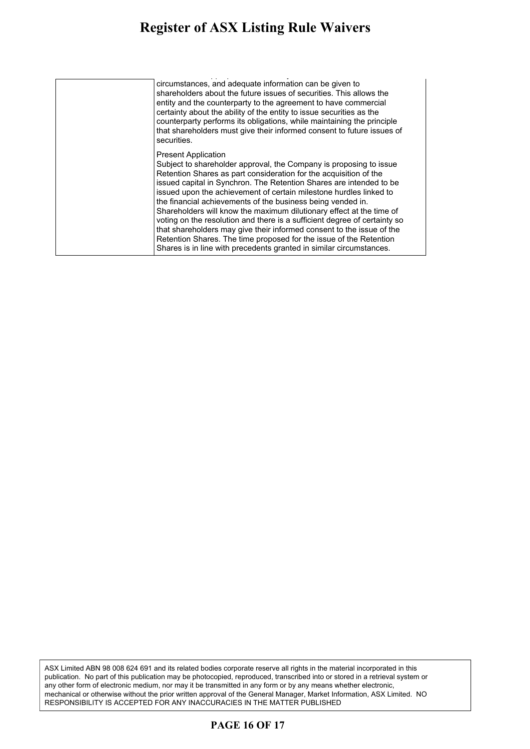#### **Register of ASX Listing Rule Waivers** gister of ASA Listing Rule Waiver shareholders' meeting, ASX's policy is to permit entities to seek

| circumstances, and adequate information can be given to<br>shareholders about the future issues of securities. This allows the<br>entity and the counterparty to the agreement to have commercial<br>certainty about the ability of the entity to issue securities as the<br>counterparty performs its obligations, while maintaining the principle<br>that shareholders must give their informed consent to future issues of<br>securities.                                                                                                                                                                                                                                                                                                                 |
|--------------------------------------------------------------------------------------------------------------------------------------------------------------------------------------------------------------------------------------------------------------------------------------------------------------------------------------------------------------------------------------------------------------------------------------------------------------------------------------------------------------------------------------------------------------------------------------------------------------------------------------------------------------------------------------------------------------------------------------------------------------|
| <b>Present Application</b><br>Subject to shareholder approval, the Company is proposing to issue<br>Retention Shares as part consideration for the acquisition of the<br>issued capital in Synchron. The Retention Shares are intended to be<br>issued upon the achievement of certain milestone hurdles linked to<br>the financial achievements of the business being vended in.<br>Shareholders will know the maximum dilutionary effect at the time of<br>voting on the resolution and there is a sufficient degree of certainty so<br>that shareholders may give their informed consent to the issue of the<br>Retention Shares. The time proposed for the issue of the Retention<br>Shares is in line with precedents granted in similar circumstances. |

ASX Limited ABN 98 008 624 691 and its related bodies corporate reserve all rights in the material incorporated in this publication. No part of this publication may be photocopied, reproduced, transcribed into or stored in a retrieval system or any other form of electronic medium, nor may it be transmitted in any form or by any means whether electronic, mechanical or otherwise without the prior written approval of the General Manager, Market Information, ASX Limited. NO RESPONSIBILITY IS ACCEPTED FOR ANY INACCURACIES IN THE MATTER PUBLISHED

### **PAGE 16 OF 17**